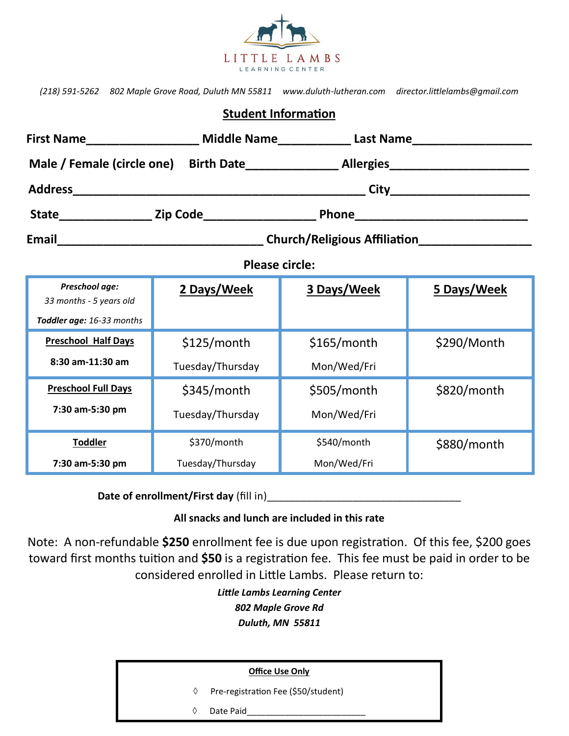

|                            | (218) 591-5262 802 Maple Grove Road, Duluth MN 55811 www.duluth-lutheran.com director.littlelambs@qmail.com |  |  |  |  |  |
|----------------------------|-------------------------------------------------------------------------------------------------------------|--|--|--|--|--|
| <b>Student Information</b> |                                                                                                             |  |  |  |  |  |

| <b>Please circle:</b>                     |                  |               |             |  |  |  |  |
|-------------------------------------------|------------------|---------------|-------------|--|--|--|--|
| Preschool age:<br>33 months - 5 years old | 2 Days/Week      | 3 Days/Week   | 5 Days/Week |  |  |  |  |
| Toddler age: 16-33 months                 |                  |               |             |  |  |  |  |
| <b>Preschool Half Days</b>                | \$125/month      | $$165/m$ onth | \$290/Month |  |  |  |  |
| 8:30 am-11:30 am                          | Tuesday/Thursday | Mon/Wed/Fri   |             |  |  |  |  |
| <b>Preschool Full Days</b>                | $$345/m$ onth    | \$505/month   | \$820/month |  |  |  |  |
| 7:30 am-5:30 pm                           | Tuesday/Thursday | Mon/Wed/Fri   |             |  |  |  |  |
| <b>Toddler</b>                            | \$370/month      | \$540/month   | \$880/month |  |  |  |  |
| 7:30 am-5:30 pm                           | Tuesday/Thursday | Mon/Wed/Fri   |             |  |  |  |  |

**Date of enrollment/First day** (fill in)

## **All snacks and lunch are included in this rate**

Note: A non-refundable **\$250** enrollment fee is due upon registration. Of this fee, \$200 goes toward first months tuition and **\$50** is a registration fee. This fee must be paid in order to be considered enrolled in Little Lambs. Please return to:

> *Little Lambs Learning Center 802 Maple Grove Rd Duluth, MN 55811*

| <b>Office Use Only</b> |                                     |  |  |  |
|------------------------|-------------------------------------|--|--|--|
| ♦                      | Pre-registration Fee (\$50/student) |  |  |  |
| ♦                      | Date Paid                           |  |  |  |